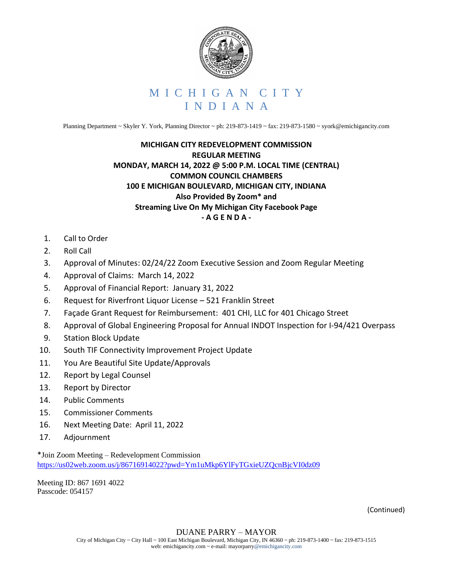

Planning Department ~ Skyler Y. York, Planning Director ~ ph: 219-873-1419 ~ fax: 219-873-1580 ~ syork@emichigancity.com

## **MICHIGAN CITY REDEVELOPMENT COMMISSION REGULAR MEETING MONDAY, MARCH 14, 2022 @ 5:00 P.M. LOCAL TIME (CENTRAL) COMMON COUNCIL CHAMBERS 100 E MICHIGAN BOULEVARD, MICHIGAN CITY, INDIANA Also Provided By Zoom\* and Streaming Live On My Michigan City Facebook Page - A G E N D A -**

- 1. Call to Order
- 2. Roll Call
- 3. Approval of Minutes: 02/24/22 Zoom Executive Session and Zoom Regular Meeting
- 4. Approval of Claims: March 14, 2022
- 5. Approval of Financial Report: January 31, 2022
- 6. Request for Riverfront Liquor License 521 Franklin Street
- 7. Façade Grant Request for Reimbursement: 401 CHI, LLC for 401 Chicago Street
- 8. Approval of Global Engineering Proposal for Annual INDOT Inspection for I-94/421 Overpass
- 9. Station Block Update
- 10. South TIF Connectivity Improvement Project Update
- 11. You Are Beautiful Site Update/Approvals
- 12. Report by Legal Counsel
- 13. Report by Director
- 14. Public Comments
- 15. Commissioner Comments
- 16. Next Meeting Date: April 11, 2022
- 17. Adjournment

\*Join Zoom Meeting – Redevelopment Commission <https://us02web.zoom.us/j/86716914022?pwd=Ym1uMkp6YlFyTGxieUZQcnBjcVI0dz09>

Meeting ID: 867 1691 4022 Passcode: 054157

(Continued)

## DUANE PARRY – MAYOR

City of Michigan City ~ City Hall ~ 100 East Michigan Boulevard, Michigan City, IN 46360 ~ ph: 219-873-1400 ~ fax: 219-873-1515 web: emichigancity.com ~ e-mail: mayorparry@emichigancity.com